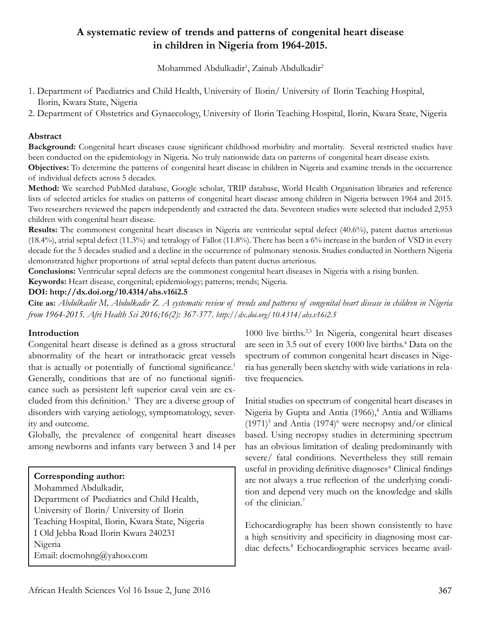# **A systematic review of trends and patterns of congenital heart disease in children in Nigeria from 1964-2015.**

Mohammed Abdulkadir<sup>1</sup>, Zainab Abdulkadir<sup>2</sup>

1. Department of Paediatrics and Child Health, University of Ilorin/ University of Ilorin Teaching Hospital, Ilorin, Kwara State, Nigeria

2. Department of Obstetrics and Gynaecology, University of Ilorin Teaching Hospital, Ilorin, Kwara State, Nigeria

### **Abstract**

**Background:** Congenital heart diseases cause significant childhood morbidity and mortality. Several restricted studies have been conducted on the epidemiology in Nigeria. No truly nationwide data on patterns of congenital heart disease exists.

**Objectives:** To determine the patterns of congenital heart disease in children in Nigeria and examine trends in the occurrence of individual defects across 5 decades.

**Method:** We searched PubMed database, Google scholar, TRIP database, World Health Organisation libraries and reference lists of selected articles for studies on patterns of congenital heart disease among children in Nigeria between 1964 and 2015. Two researchers reviewed the papers independently and extracted the data. Seventeen studies were selected that included 2,953 children with congenital heart disease.

**Results:** The commonest congenital heart diseases in Nigeria are ventricular septal defect (40.6%), patent ductus arteriosus (18.4%), atrial septal defect (11.3%) and tetralogy of Fallot (11.8%). There has been a 6% increase in the burden of VSD in every decade for the 5 decades studied and a decline in the occurrence of pulmonary stenosis. Studies conducted in Northern Nigeria demonstrated higher proportions of atrial septal defects than patent ductus arteriosus.

**Conclusions:** Ventricular septal defects are the commonest congenital heart diseases in Nigeria with a rising burden.

**Keywords:** Heart disease, congenital; epidemiology; patterns; trends; Nigeria.

#### **DOI: http://dx.doi.org/10.4314/ahs.v16i2.5**

**Cite as:** *Abdulkadir M, Abdulkadir Z. A systematic review of trends and patterns of congenital heart disease in children in Nigeria from 1964-2015. Afri Health Sci 2016;16(2): 367-377. http://dx.doi.org/10.4314/ahs.v16i2.5*

## **Introduction**

Congenital heart disease is defined as a gross structural abnormality of the heart or intrathoracic great vessels that is actually or potentially of functional significance.<sup>1</sup> Generally, conditions that are of no functional significance such as persistent left superior caval vein are excluded from this definition.<sup>1</sup> They are a diverse group of disorders with varying aetiology, symptomatology, severity and outcome.

Globally, the prevalence of congenital heart diseases among newborns and infants vary between 3 and 14 per

## **Corresponding author:**

Mohammed Abdulkadir, Department of Paediatrics and Child Health, University of Ilorin/ University of Ilorin Teaching Hospital, Ilorin, Kwara State, Nigeria I Old Jebba Road Ilorin Kwara 240231 Nigeria Email: docmohng@yahoo.com

1000 live births.<sup>2,3</sup> In Nigeria, congenital heart diseases are seen in 3.5 out of every 1000 live births.<sup>4</sup> Data on the spectrum of common congenital heart diseases in Nigeria has generally been sketchy with wide variations in relative frequencies.

Initial studies on spectrum of congenital heart diseases in Nigeria by Gupta and Antia (1966),<sup>4</sup> Antia and Williams  $(1971)^5$  and Antia  $(1974)^6$  were necropsy and/or clinical based. Using necropsy studies in determining spectrum has an obvious limitation of dealing predominantly with severe/ fatal conditions. Nevertheless they still remain useful in providing definitive diagnoses<sup>6</sup> Clinical findings are not always a true reflection of the underlying condition and depend very much on the knowledge and skills of the clinician.7

Echocardiography has been shown consistently to have a high sensitivity and specificity in diagnosing most cardiac defects.<sup>8</sup> Echocardiographic services became avail-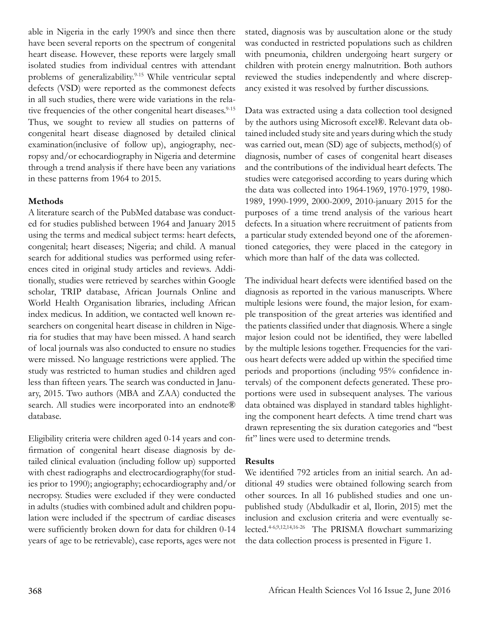able in Nigeria in the early 1990's and since then there have been several reports on the spectrum of congenital heart disease. However, these reports were largely small isolated studies from individual centres with attendant problems of generalizability.<sup>9-15</sup> While ventricular septal defects (VSD) were reported as the commonest defects in all such studies, there were wide variations in the relative frequencies of the other congenital heart diseases.<sup>9-15</sup> Thus, we sought to review all studies on patterns of congenital heart disease diagnosed by detailed clinical examination(inclusive of follow up), angiography, necropsy and/or echocardiography in Nigeria and determine through a trend analysis if there have been any variations in these patterns from 1964 to 2015.

## **Methods**

A literature search of the PubMed database was conducted for studies published between 1964 and January 2015 using the terms and medical subject terms: heart defects, congenital; heart diseases; Nigeria; and child. A manual search for additional studies was performed using references cited in original study articles and reviews. Additionally, studies were retrieved by searches within Google scholar, TRIP database, African Journals Online and World Health Organisation libraries, including African index medicus. In addition, we contacted well known researchers on congenital heart disease in children in Nigeria for studies that may have been missed. A hand search of local journals was also conducted to ensure no studies were missed. No language restrictions were applied. The study was restricted to human studies and children aged less than fifteen years. The search was conducted in January, 2015. Two authors (MBA and ZAA) conducted the search. All studies were incorporated into an endnote® database.

Eligibility criteria were children aged 0-14 years and confirmation of congenital heart disease diagnosis by detailed clinical evaluation (including follow up) supported with chest radiographs and electrocardiography(for studies prior to 1990); angiography; echocardiography and/or necropsy. Studies were excluded if they were conducted in adults (studies with combined adult and children population were included if the spectrum of cardiac diseases were sufficiently broken down for data for children 0-14 years of age to be retrievable), case reports, ages were not

stated, diagnosis was by auscultation alone or the study was conducted in restricted populations such as children with pneumonia, children undergoing heart surgery or children with protein energy malnutrition. Both authors reviewed the studies independently and where discrepancy existed it was resolved by further discussions.

Data was extracted using a data collection tool designed by the authors using Microsoft excel®. Relevant data obtained included study site and years during which the study was carried out, mean (SD) age of subjects, method(s) of diagnosis, number of cases of congenital heart diseases and the contributions of the individual heart defects. The studies were categorised according to years during which the data was collected into 1964-1969, 1970-1979, 1980- 1989, 1990-1999, 2000-2009, 2010-january 2015 for the purposes of a time trend analysis of the various heart defects. In a situation where recruitment of patients from a particular study extended beyond one of the aforementioned categories, they were placed in the category in which more than half of the data was collected.

The individual heart defects were identified based on the diagnosis as reported in the various manuscripts. Where multiple lesions were found, the major lesion, for example transposition of the great arteries was identified and the patients classified under that diagnosis. Where a single major lesion could not be identified, they were labelled by the multiple lesions together. Frequencies for the various heart defects were added up within the specified time periods and proportions (including 95% confidence intervals) of the component defects generated. These proportions were used in subsequent analyses. The various data obtained was displayed in standard tables highlighting the component heart defects. A time trend chart was drawn representing the six duration categories and "best fit" lines were used to determine trends.

## **Results**

We identified 792 articles from an initial search. An additional 49 studies were obtained following search from other sources. In all 16 published studies and one unpublished study (Abdulkadir et al, Ilorin, 2015) met the inclusion and exclusion criteria and were eventually selected.4-6,9,12,14,16-26 The PRISMA flowchart summarizing the data collection process is presented in Figure 1.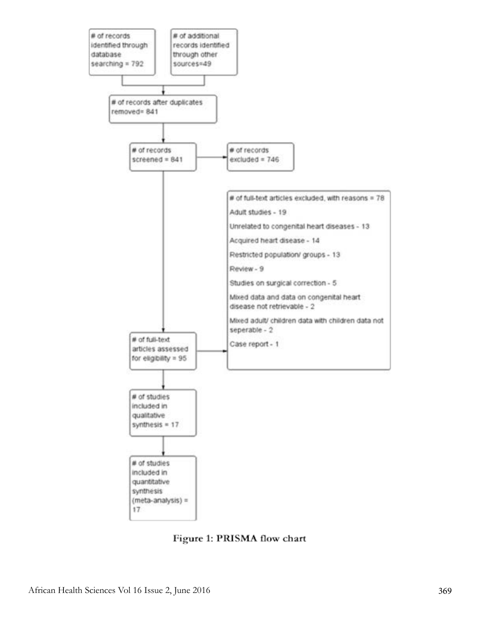

Figure 1: PRISMA flow chart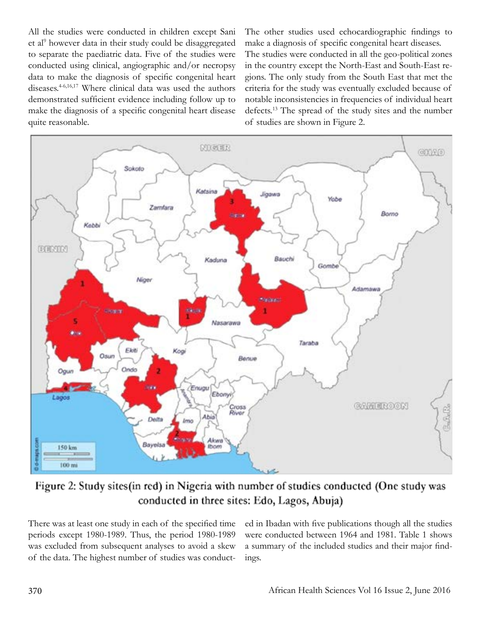All the studies were conducted in children except Sani et al<sup>9</sup> however data in their study could be disaggregated to separate the paediatric data. Five of the studies were conducted using clinical, angiographic and/or necropsy data to make the diagnosis of specific congenital heart diseases.<sup>4-6,16,17</sup> Where clinical data was used the authors demonstrated sufficient evidence including follow up to make the diagnosis of a specific congenital heart disease quite reasonable.

The other studies used echocardiographic findings to make a diagnosis of specific congenital heart diseases. The studies were conducted in all the geo-political zones in the country except the North-East and South-East regions. The only study from the South East that met the criteria for the study was eventually excluded because of notable inconsistencies in frequencies of individual heart defects.13 The spread of the study sites and the number of studies are shown in Figure 2.



Figure 2: Study sites(in red) in Nigeria with number of studies conducted (One study was conducted in three sites: Edo, Lagos, Abuja)

There was at least one study in each of the specified time periods except 1980-1989. Thus, the period 1980-1989 was excluded from subsequent analyses to avoid a skew of the data. The highest number of studies was conducted in Ibadan with five publications though all the studies were conducted between 1964 and 1981. Table 1 shows a summary of the included studies and their major findings.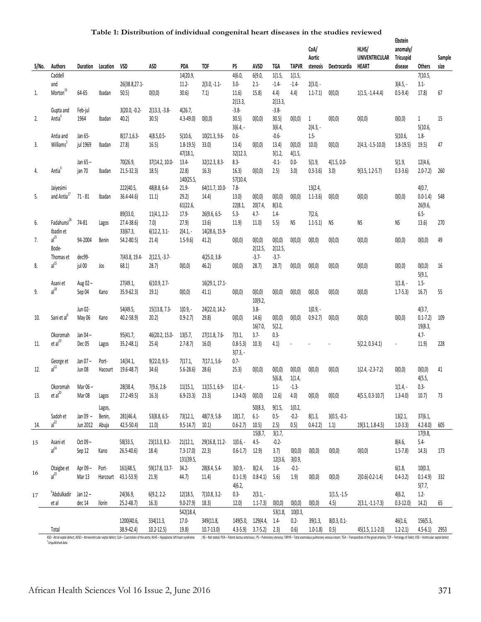## **Table 1: Distribution of individual congenital heart diseases in the studies reviewed**

|                                                                                                                                                 |                                    |                   |          |                  |                  |                  |                 |                     |             |                   |                   | CoA/<br>Aortic |                 | HLHS/<br><b>UNIVENTRICULAR</b> | Ebstein<br>anomaly/<br><b>Tricuspid</b> |              | Sample |
|-------------------------------------------------------------------------------------------------------------------------------------------------|------------------------------------|-------------------|----------|------------------|------------------|------------------|-----------------|---------------------|-------------|-------------------|-------------------|----------------|-----------------|--------------------------------|-----------------------------------------|--------------|--------|
| S/No.                                                                                                                                           | Authors                            | Duration          | Location | VSD              | ASD              | PDA              | TOF             | PS                  | AVSD        | TGA               | <b>TAPVR</b>      | stenosis       | Dextrocardia    | <b>HEART</b>                   | disease                                 | Others       | size   |
|                                                                                                                                                 | Caddell                            |                   |          |                  |                  | 14(20.9)         |                 | 4(6.0,              | 6(9.0,      | 1(1.5,            | 1(1.5,            |                |                 |                                |                                         | 7(10.5,      |        |
|                                                                                                                                                 | and                                |                   |          | 26(38.8,27.1-    |                  | $11.2 -$         | $2(3.0, -1.1 -$ | $3.0 -$             | $2.1 -$     | $-1.4$            | $-1.4-$           | $2(3.0,-)$     |                 |                                | $3(4.5,-$                               | $3.1 -$      |        |
| 1.                                                                                                                                              | $\text{Morton}^{16}$               | 64-65             | Ibadan   | 50.5)            | 0(0,0)           | 30.6)            | 7.1)            | 11.6                | 15.8        | 4.4)              | (4.4)             | $1.1 - 7.1$    | 0(0,0)          | $1(1.5, -1.4 - 4.4)$           | $0.5 - 9.4$                             | 17.8         | 67     |
|                                                                                                                                                 |                                    |                   |          |                  |                  |                  |                 | 2(13.3,             |             | 2(13.3,           |                   |                |                 |                                |                                         |              |        |
|                                                                                                                                                 | Gupta and                          | Feb-jul           |          | $3(20.0, -0.2 -$ | $2(13.3, -3.8 -$ | 4(26.7,          |                 | $-3.8-$             |             | $-3.8-$           |                   |                |                 |                                |                                         |              |        |
| 2.                                                                                                                                              | Antia <sup>4</sup>                 | 1964              | Ibadan   | 40.2)            | 30.5)            | $4.3 - 49.0$     | 0(0,0)          | 30.5)               | 0(0,0)      | 30.5)             | 0(0,0)            | 1              | 0(0,0)          | 0(0,0)                         | 0(0,0)                                  | $\mathbf{1}$ | 15     |
|                                                                                                                                                 |                                    |                   |          |                  |                  |                  |                 | $3(6.4,-)$          |             | 3(6.4,            |                   | $2(4.3, -$     |                 |                                |                                         | 5(10.6)      |        |
|                                                                                                                                                 | Antia and<br>Williams <sup>5</sup> | Jan 65-           |          | $8(17.1, 6.3 -$  | $4(8.5, 0.5 -$   | 5(10.6)          | 10(21.3, 9.6-   | $0.6 -$             |             | $-0.6-$           |                   | $1.5 -$        |                 |                                | 5(10.6,                                 | $1.8 -$      |        |
| 3.                                                                                                                                              |                                    | jul 1969          | Ibadan   | 27.8             | 16.5)            | $1.8 - 19.5$     | 33.0            | 13.4)               | 0(0,0)      | 13.4)             | 0(0,0)            | 10.0           | 0(0,0)          | $2(4.3, -1.5 - 10.0)$          | $1.8 - 19.5$                            | 19.5)        | 47     |
|                                                                                                                                                 |                                    | Jan 65-           |          | 70(26.9,         | 37(14.2, 10.0-   | 47(18.1,         | 32(12.3, 8.3-   | 32(12.3,<br>$8.3 -$ |             | 3(1.2,<br>$-0.1-$ | 4(1.5,<br>$0.0 -$ | 5(1.9,         | $4(1.5, 0.0 -$  |                                | 5(1.9,                                  | 12(4.6)      |        |
|                                                                                                                                                 | Antia <sup>6</sup>                 | jan 70            | Ibadan   | $21.5 - 32.3$    | 18.5)            | $13.4 -$<br>22.8 | 16.3)           | 16.3)               |             |                   |                   | $0.3 - 3.6$    | 3.0             | $9(3.5, 1.2 - 5.7)$            | $0.3 - 3.6$                             | $2.0 - 7.2$  | 260    |
| 4.                                                                                                                                              |                                    |                   |          |                  |                  | 140(25.5,        |                 | 57(10.4,            | 0(0,0)      | 2.5)              | 3.0)              |                |                 |                                |                                         |              |        |
|                                                                                                                                                 | Jaiyesimi                          |                   |          | 222(40.5,        | 48(8.8, 6.4-     | $21.9 -$         | 64(11.7, 10.0-  | $7.8 -$             |             |                   |                   | 13(2.4)        |                 |                                |                                         | 4(0.7,       |        |
| 5.                                                                                                                                              | and Antia <sup>17</sup>            | $71 - 81$         | Ibadan   | $36.4 - 44.6$    | 11.1)            | 29.2)            | 14.4)           | 13.0                | 0(0,0)      | 0(0,0)            | 0(0,0)            | $1.1 - 3.6$    | 0(0,0)          | 0(0,0)                         | 0(0,0)                                  | $0.0 - 1.4$  | 548    |
| 6.                                                                                                                                              |                                    |                   |          |                  |                  | 61(22.6,         |                 | 22(8.1)             | 20(7.4,     | 8(3.0,            |                   |                |                 |                                |                                         | 26(9.6)      |        |
|                                                                                                                                                 |                                    |                   |          | 89(33.0,         | $11(4.1, 2.2-$   | $17.9 -$         | 26(9.6, 6.5-    | $5.3 -$             | 4.7-        | $1.4 -$           |                   | 7(2.6,         |                 |                                |                                         | $6.5 -$      |        |
|                                                                                                                                                 | Fadahunsi <sup>26</sup>            | 74-81             | Lagos    | $27.4 - 38.6$    | 7.0)             | 27.9)            | 13.6)           | 11.9                | 11.0        | 5.5)              | NS                | $1.1 - 5.1$    | NS              | ΝS                             | NS                                      | 13.6         | 270    |
|                                                                                                                                                 | Ibadin et                          |                   |          | 33(67.3,         | $6(12.2, 3.1 -$  | $2(4.1, -$       | 14(28.6, 15.9-  |                     |             |                   |                   |                |                 |                                |                                         |              |        |
| 7.                                                                                                                                              | al <sup>25</sup>                   | 94-2004           | Benin    | $54.2 - 80.5$    | 21.4)            | $1.5 - 9.6$      | 41.2)           | 0(0,0)              | 0(0,0)      | 0(0,0)            | 0(0,0)            | 0(0,0)         | 0(0,0)          | 0(0,0)                         | 0(0,0)                                  | 0(0,0)       | 49     |
|                                                                                                                                                 | Bode-                              |                   |          |                  |                  |                  |                 |                     | 2(12.5)     | 2(12.5)           |                   |                |                 |                                |                                         |              |        |
|                                                                                                                                                 | Thomas et                          | dec99-            |          | 7(43.8, 19.4-    | $2(12.5, -3.7 -$ |                  | $4(25.0, 3.8 -$ |                     | $-3.7-$     | $-3.7-$           |                   |                |                 |                                |                                         |              |        |
| 8.                                                                                                                                              | al <sup>15</sup>                   | jul 00            | Jos      | 68.1)            | 28.7)            | 0(0,0)           | 46.2)           | 0(0,0)              | 28.7)       | 28.7              | 0(0,0)            | 0(0,0)         | 0(0,0)          | 0(0,0)                         | 0(0,0)                                  | 0(0,0)       | 16     |
|                                                                                                                                                 |                                    |                   |          |                  |                  |                  |                 |                     |             |                   |                   |                |                 |                                |                                         | 5(9.1,       |        |
|                                                                                                                                                 | Asani et                           | Aug 02-           |          | 27(49.1,         | $6(10.9, 2.7 -$  |                  | 16(29.1, 17.1-  |                     |             |                   |                   |                |                 |                                | $1(1.8, -)$                             | $1.5 -$      |        |
| 9.                                                                                                                                              | al <sup>18</sup>                   | Sep 04            | Kano     | $35.9 - 62.3$    | 19.1)            | 0(0,0)           | 41.1            | 0(0,0)              | 0(0,0)      | 0(0,0)            | 0(0,0)            | 0(0,0)         | 0(0,0)          | 0(0,0)                         | $1.7 - 5.3$                             | 16.7         | 55     |
|                                                                                                                                                 |                                    |                   |          |                  |                  |                  |                 |                     | 10(9.2,     |                   |                   |                |                 |                                |                                         |              |        |
|                                                                                                                                                 |                                    | Jun 02-           |          | 54(49.5,         | 15(13.8, 7.3-    | $1(0.9,-)$       | 24(22.0, 14.2-  |                     | $3.8 -$     |                   |                   | $1(0.9,-)$     |                 |                                |                                         | 4(3.7,       |        |
| 10.                                                                                                                                             | Sani et al <sup>3</sup>            | May 06            | Kano     | 40.2-58.9)       | 20.2)            | $0.9 - 2.7$      | 29.8            | 0(0,0)              | 14.6)       | 0(0,0)            | 0(0,0)            | $0.9 - 2.7$    | 0(0,0)          | 0(0,0)                         | 0(0,0)                                  | $0.1 - 7.2$  | 109    |
|                                                                                                                                                 |                                    |                   |          |                  |                  |                  |                 |                     | 16(7.0,     | 5(2.2,            |                   |                |                 |                                |                                         | 19(8.3,      |        |
|                                                                                                                                                 | Okoromah                           | Jan 04-           |          | 95(41.7,         | 46(20.2, 15.0-   | 13(5.7)          | 27(11.8, 7.6-   | 7(3.1,              | $3.7 -$     | $0.3 -$           |                   |                |                 |                                |                                         | $4.7 -$      |        |
| 11.<br>12.                                                                                                                                      | et al <sup>19</sup>                | Dec 05            | Lagos    | $35.2 - 48.1$    | 25.4)            | $2.7 - 8.7$      | 16.0            | $0.8 - 5.3$         | 10.3)       | 4.1)              |                   |                |                 | $5(2.2, 0.3 - 4.1)$            |                                         | 11.9         | 228    |
|                                                                                                                                                 |                                    |                   |          |                  |                  |                  |                 | $3(7.3,-$           |             |                   |                   |                |                 |                                |                                         |              |        |
|                                                                                                                                                 | George et                          | Jan 07-           | Port-    | 14(34.1,         | $9(22.0, 9.3 -$  | 7(17.1,          | 7(17.1, 5.6     | $0.7 -$             |             |                   |                   |                |                 |                                |                                         |              |        |
|                                                                                                                                                 | al <sup>12</sup>                   | <b>Jun 08</b>     | Hacourt  | $19.6 - 48.7$    | 34.6)            | $5.6 - 28.6$     | 28.6)           | 25.3                | 0(0,0)      | 0(0,0)            | 0(0,0)            | 0(0,0)         | 0(0,0)          | $1(2.4, -2.3 - 7.2)$           | 0(0,0)                                  | 0(0,0)       | 41     |
|                                                                                                                                                 |                                    |                   |          |                  |                  |                  |                 |                     |             | 5(6.8,            | 1(1.4)            |                |                 |                                |                                         | 4(5.5,       |        |
|                                                                                                                                                 | Okoromah<br>et al <sup>20</sup>    | Mar 06-           |          | 28(38.4,         | $7(9.6, 2.8 -$   | 11(15.1,         | 11(15.1, 6.9-   | $1(1.4,-)$          |             | $1.1 -$           | $-1.3-$           |                |                 |                                | $1(1.4,-$                               | $0.3 -$      |        |
| 13.                                                                                                                                             |                                    | Mar <sub>08</sub> | Lagos    | $27.2 - 49.5$    | 16.3)            | $6.9 - 23.3$     | 23.3)           | $1.3 - 4.0$         | 0(0,0)      | 12.6)             | 4.0               | 0(0,0)         | 0(0,0)          | $4(5.5, 0.3 - 10.7)$           | $1.3 - 4.0$                             | 10.7         | 73     |
|                                                                                                                                                 |                                    |                   | Lagos,   |                  |                  |                  |                 |                     | 50(8.3,     | 9(1.5,            | 1(0.2,            |                |                 |                                |                                         |              |        |
|                                                                                                                                                 | Sadoh et                           | Jan 09 -          | Benin,   | 281(46.4,        | 53(8.8, 6.5-     | 73(12.1,         | 48(7.9, 5.8-    | 10(1.7,             | $6.1 -$     | $0.5 -$           | $-0.2-$           | 8(1.3,         | $3(0.5, -0.1 -$ |                                | 13(2.1,                                 | 37(6.1,      |        |
| 14.                                                                                                                                             | al <sup>22</sup>                   | Jun 2012          | Abuja    | 42.5-50.4)       | 11.0)            | $9.5 - 14.7$     | 10.1)           | $0.6 - 2.7$         | 10.5)       | 2.5)              | 0.5)              | $0.4 - 2.2$    | 1.1)            | 19(3.1, 1.8-4.5)               | $1.0 - 3.3$                             | $4.2 - 8.0$  | 605    |
|                                                                                                                                                 |                                    |                   |          |                  |                  |                  |                 |                     | 15(8.7)     | 3(1.7)            |                   |                |                 |                                |                                         | 17(9.8,      |        |
| 15                                                                                                                                              | Asani et                           | $Oct09 -$         |          | 58(33.5,         | 23(13.3, 8.2-    | 21(12.1,         | 29(16.8, 11.2-  | $1(0.6,-)$          | 4.5-        | -0.2-             |                   |                |                 |                                | 8(4.6,                                  | $5.4 -$      |        |
|                                                                                                                                                 | al <sup>14</sup>                   | Sep 12            | Kano     | $26.5 - 40.6$    | 18.4)            | $7.3 - 17.0$     | 22.3)           | $0.6 - 1.7$         | 12.9)       | 3.7)              | 0(0,0)            | 0(0,0)         | 0(0,0)          | 0(0,0)                         | $1.5 - 7.8$                             | 14.3)        | 173    |
|                                                                                                                                                 |                                    |                   |          |                  |                  | 131(39.5,        |                 |                     |             | 12(3.6)           | 3(0.9,            |                |                 |                                |                                         |              |        |
| 16                                                                                                                                              | Otaigbe et                         | Apr 09-           | Port-    | 161(48.5,        | 59(17.8, 13.7-   | $34.2 -$         | 28(8.4, 5.4-    | $3(0.9,-)$          | 8(2.4,      | $1.6 -$           | $-0.1 -$          |                |                 |                                | 6(1.8,                                  | 10(0.3,      |        |
|                                                                                                                                                 | al <sup>23</sup>                   | Mar 13            | Harcourt | 43.1-53.9)       | 21.9             | 44.7)            | 11.4)           | $0.1 - 1.9$         | $0.8 - 4.1$ | 5.6               | 1.9)              | 0(0,0)         | 0(0,0)          | $2(0.6(-0.2-1.4))$             | $0.4 - 3.2$                             | $0.1 - 4.9$  | 332    |
|                                                                                                                                                 |                                    |                   |          |                  |                  |                  |                 | 4(6.2,              |             |                   |                   |                |                 |                                |                                         | 5(7.7,       |        |
| 17<br>ASD - Atrial septal defect; AVSD - Atrioventricular septal defect; CoA - Coarctation of the aorta; HLHS - Hypoplastic left heart syndrome | <sup>a</sup> Abdulkadir            | Jan 12-           |          | 24(36.9,         | $6(9.2, 2.2 -$   | 12(18.5,         | $7(10.8, 3.2-$  | $0.3 -$             | $2(3.1,-)$  |                   |                   |                | $1(1.5, -1.5-$  |                                | 4(6.2,                                  | $1.2 -$      |        |
|                                                                                                                                                 | et al                              | dec 14            | Ilorin   | 25.2-48.7)       | 16.3)            | $9.0 - 27.9$     | 18.3)           | 12.0                | $1.1 - 7.3$ | 0(0,0)            | 0(0,0)            | 0(0,0)         | 4.5)            | $2(3.1, -1.1 - 7.3)$           | $0.3 - 12.0$                            | 14.2)        | 65     |
|                                                                                                                                                 |                                    |                   |          |                  |                  | 542(18.4,        |                 |                     |             | 53(1.8)           | 10(0.3,           |                |                 |                                |                                         |              |        |
|                                                                                                                                                 |                                    |                   |          | 1200(40.6,       | 334(11.3,        | $17.0 -$         | 349(11.8,       | 149(5.0,            | 129(4.4,    | $1.4 -$           | $0.2 -$           | 39(1.3,        | $8(0.3, 0.1 -$  |                                | 46(1.6)                                 | 156(5.3,     |        |
|                                                                                                                                                 | Total                              |                   |          | 38.9-42.4)       | $10.2 - 12.5$    | 19.8             | $10.7 - 13.0$   | $4.3 - 5.9$         | $3.7 - 5.2$ | 2.3)              | 0.6)              | $1.0 - 1.8$    | 0.5)            | 45(1.5, 1.1-2.0)               | $1.2 - 2.1$                             | $4.5 - 6.1$  | 2953   |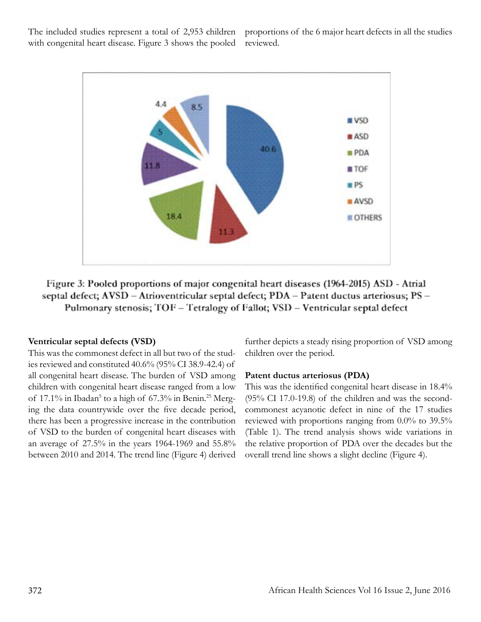The included studies represent a total of 2,953 children proportions of the 6 major heart defects in all the studies with congenital heart disease. Figure 3 shows the pooled

reviewed.



Figure 3: Pooled proportions of major congenital heart diseases (1964-2015) ASD - Atrial septal defect; AVSD - Atrioventricular septal defect; PDA - Patent ductus arteriosus; PS -Pulmonary stenosis; TOF - Tetralogy of Fallot; VSD - Ventricular septal defect

## **Ventricular septal defects (VSD)**

This was the commonest defect in all but two of the studies reviewed and constituted 40.6% (95% CI 38.9-42.4) of all congenital heart disease. The burden of VSD among children with congenital heart disease ranged from a low of 17.1% in Ibadan<sup>5</sup> to a high of 67.3% in Benin.<sup>25</sup> Merging the data countrywide over the five decade period, there has been a progressive increase in the contribution of VSD to the burden of congenital heart diseases with an average of 27.5% in the years 1964-1969 and 55.8% between 2010 and 2014. The trend line (Figure 4) derived

further depicts a steady rising proportion of VSD among children over the period.

#### **Patent ductus arteriosus (PDA)**

This was the identified congenital heart disease in 18.4% (95% CI 17.0-19.8) of the children and was the secondcommonest acyanotic defect in nine of the 17 studies reviewed with proportions ranging from 0.0% to 39.5% (Table 1). The trend analysis shows wide variations in the relative proportion of PDA over the decades but the overall trend line shows a slight decline (Figure 4).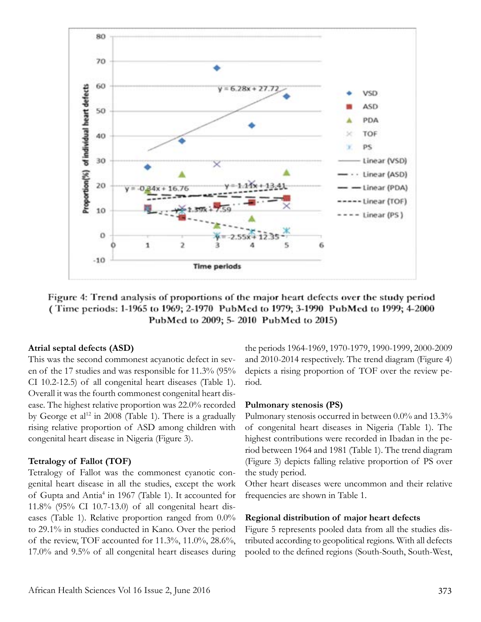

Figure 4: Trend analysis of proportions of the major heart defects over the study period (Time periods: 1-1965 to 1969; 2-1970 PubMed to 1979; 3-1990 PubMed to 1999; 4-2000 PubMed to 2009; 5-2010 PubMed to 2015)

#### **Atrial septal defects (ASD)**

This was the second commonest acyanotic defect in seven of the 17 studies and was responsible for 11.3% (95% CI 10.2-12.5) of all congenital heart diseases (Table 1). Overall it was the fourth commonest congenital heart disease. The highest relative proportion was 22.0% recorded by George et al<sup>12</sup> in 2008 (Table 1). There is a gradually rising relative proportion of ASD among children with congenital heart disease in Nigeria (Figure 3).

#### **Tetralogy of Fallot (TOF)**

Tetralogy of Fallot was the commonest cyanotic congenital heart disease in all the studies, except the work of Gupta and Antia<sup>4</sup> in 1967 (Table 1). It accounted for 11.8% (95% CI 10.7-13.0) of all congenital heart diseases (Table 1). Relative proportion ranged from 0.0% to 29.1% in studies conducted in Kano. Over the period of the review, TOF accounted for 11.3%, 11.0%, 28.6%, 17.0% and 9.5% of all congenital heart diseases during

the periods 1964-1969, 1970-1979, 1990-1999, 2000-2009 and 2010-2014 respectively. The trend diagram (Figure 4) depicts a rising proportion of TOF over the review period.

#### **Pulmonary stenosis (PS)**

Pulmonary stenosis occurred in between 0.0% and 13.3% of congenital heart diseases in Nigeria (Table 1). The highest contributions were recorded in Ibadan in the period between 1964 and 1981 (Table 1). The trend diagram (Figure 3) depicts falling relative proportion of PS over the study period.

Other heart diseases were uncommon and their relative frequencies are shown in Table 1.

#### **Regional distribution of major heart defects**

Figure 5 represents pooled data from all the studies distributed according to geopolitical regions. With all defects pooled to the defined regions (South-South, South-West,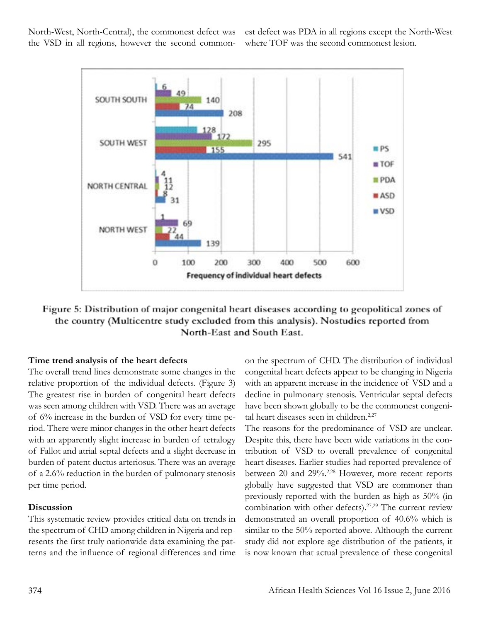North-West, North-Central), the commonest defect was the VSD in all regions, however the second commonest defect was PDA in all regions except the North-West where TOF was the second commonest lesion.



Figure 5: Distribution of major congenital heart diseases according to geopolitical zones of the country (Multicentre study excluded from this analysis). Nostudies reported from North-East and South East.

#### **Time trend analysis of the heart defects**

The overall trend lines demonstrate some changes in the relative proportion of the individual defects. (Figure 3) The greatest rise in burden of congenital heart defects was seen among children with VSD. There was an average of 6% increase in the burden of VSD for every time period. There were minor changes in the other heart defects with an apparently slight increase in burden of tetralogy of Fallot and atrial septal defects and a slight decrease in burden of patent ductus arteriosus. There was an average of a 2.6% reduction in the burden of pulmonary stenosis per time period.

#### **Discussion**

This systematic review provides critical data on trends in the spectrum of CHD among children in Nigeria and represents the first truly nationwide data examining the patterns and the influence of regional differences and time

on the spectrum of CHD. The distribution of individual congenital heart defects appear to be changing in Nigeria with an apparent increase in the incidence of VSD and a decline in pulmonary stenosis. Ventricular septal defects have been shown globally to be the commonest congenital heart diseases seen in children.<sup>2,27</sup>

The reasons for the predominance of VSD are unclear. Despite this, there have been wide variations in the contribution of VSD to overall prevalence of congenital heart diseases. Earlier studies had reported prevalence of between 20 and 29%.<sup>2,28</sup> However, more recent reports globally have suggested that VSD are commoner than previously reported with the burden as high as 50% (in combination with other defects).<sup>27,29</sup> The current review demonstrated an overall proportion of 40.6% which is similar to the 50% reported above. Although the current study did not explore age distribution of the patients, it is now known that actual prevalence of these congenital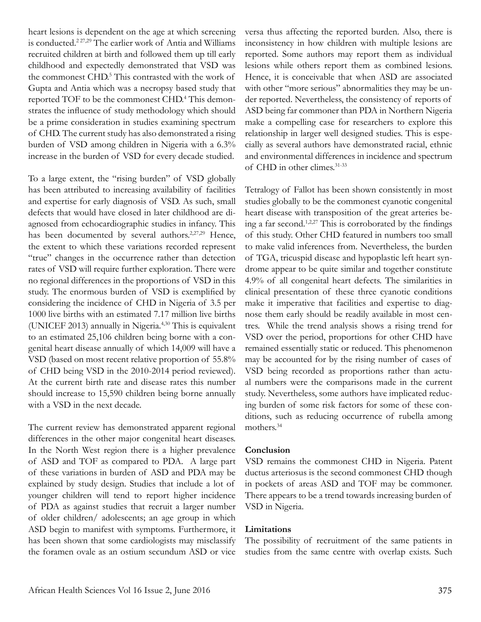heart lesions is dependent on the age at which screening is conducted.2 27,29 The earlier work of Antia and Williams recruited children at birth and followed them up till early childhood and expectedly demonstrated that VSD was the commonest CHD.<sup>5</sup> This contrasted with the work of Gupta and Antia which was a necropsy based study that reported TOF to be the commonest CHD.<sup>4</sup> This demonstrates the influence of study methodology which should be a prime consideration in studies examining spectrum of CHD. The current study has also demonstrated a rising burden of VSD among children in Nigeria with a 6.3% increase in the burden of VSD for every decade studied.

To a large extent, the "rising burden" of VSD globally has been attributed to increasing availability of facilities and expertise for early diagnosis of VSD. As such, small defects that would have closed in later childhood are diagnosed from echocardiographic studies in infancy. This has been documented by several authors.<sup>2,27,29</sup> Hence, the extent to which these variations recorded represent "true" changes in the occurrence rather than detection rates of VSD will require further exploration. There were no regional differences in the proportions of VSD in this study. The enormous burden of VSD is exemplified by considering the incidence of CHD in Nigeria of 3.5 per 1000 live births with an estimated 7.17 million live births (UNICEF 2013) annually in Nigeria.4,30 This is equivalent to an estimated 25,106 children being borne with a congenital heart disease annually of which 14,009 will have a VSD (based on most recent relative proportion of 55.8% of CHD being VSD in the 2010-2014 period reviewed). At the current birth rate and disease rates this number should increase to 15,590 children being borne annually with a VSD in the next decade.

The current review has demonstrated apparent regional differences in the other major congenital heart diseases. In the North West region there is a higher prevalence of ASD and TOF as compared to PDA. A large part of these variations in burden of ASD and PDA may be explained by study design. Studies that include a lot of younger children will tend to report higher incidence of PDA as against studies that recruit a larger number of older children/ adolescents; an age group in which ASD begin to manifest with symptoms. Furthermore, it has been shown that some cardiologists may misclassify the foramen ovale as an ostium secundum ASD or vice versa thus affecting the reported burden. Also, there is inconsistency in how children with multiple lesions are reported. Some authors may report them as individual lesions while others report them as combined lesions. Hence, it is conceivable that when ASD are associated with other "more serious" abnormalities they may be under reported. Nevertheless, the consistency of reports of ASD being far commoner than PDA in Northern Nigeria make a compelling case for researchers to explore this relationship in larger well designed studies. This is especially as several authors have demonstrated racial, ethnic and environmental differences in incidence and spectrum of CHD in other climes.31-33

Tetralogy of Fallot has been shown consistently in most studies globally to be the commonest cyanotic congenital heart disease with transposition of the great arteries being a far second.1,2,27 This is corroborated by the findings of this study. Other CHD featured in numbers too small to make valid inferences from. Nevertheless, the burden of TGA, tricuspid disease and hypoplastic left heart syndrome appear to be quite similar and together constitute 4.9% of all congenital heart defects. The similarities in clinical presentation of these three cyanotic conditions make it imperative that facilities and expertise to diagnose them early should be readily available in most centres. While the trend analysis shows a rising trend for VSD over the period, proportions for other CHD have remained essentially static or reduced. This phenomenon may be accounted for by the rising number of cases of VSD being recorded as proportions rather than actual numbers were the comparisons made in the current study. Nevertheless, some authors have implicated reducing burden of some risk factors for some of these conditions, such as reducing occurrence of rubella among mothers.34

## **Conclusion**

VSD remains the commonest CHD in Nigeria. Patent ductus arteriosus is the second commonest CHD though in pockets of areas ASD and TOF may be commoner. There appears to be a trend towards increasing burden of VSD in Nigeria.

## **Limitations**

The possibility of recruitment of the same patients in studies from the same centre with overlap exists. Such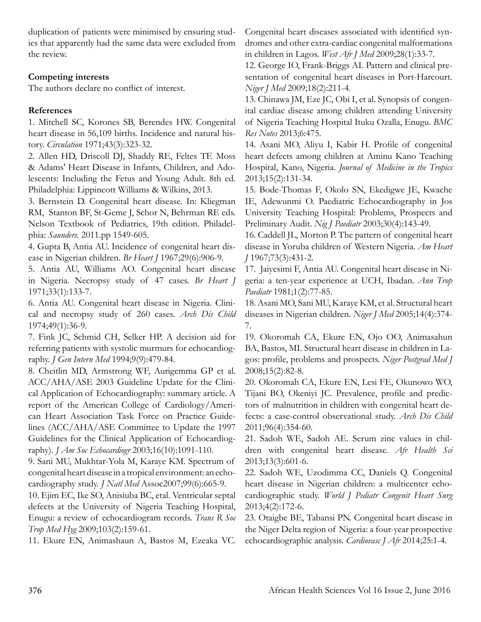duplication of patients were minimised by ensuring studies that apparently had the same data were excluded from the review.

## **Competing interests**

The authors declare no conflict of interest.

## **References**

1. Mitchell SC, Korones SB, Berendes HW. Congenital heart disease in 56,109 births. Incidence and natural history. *Circulation* 1971;43(3):323-32.

2. Allen HD, Driscoll DJ, Shaddy RE, Feltes TF. Moss & Adams' Heart Disease in Infants, Children, and Adolescents: Including the Fetus and Young Adult. 8th ed. Philadelphia: Lippincott Williams & Wilkins, 2013.

3. Bernstein D. Congenital heart disease. In: Kliegman RM, Stanton BF, St-Geme J, Schor N, Behrman RE eds. Nelson Textbook of Pediatrics, 19th edition. Philadelphia: *Saunders.* 2011.pp 1549-605.

4. Gupta B, Antia AU. Incidence of congenital heart disease in Nigerian children. *Br Heart J* 1967;29(6):906-9.

5. Antia AU, Williams AO. Congenital heart disease in Nigeria. Necropsy study of 47 cases. *Br Heart J*  1971;33(1):133-7.

6. Antia AU. Congenital heart disease in Nigeria. Clinical and necropsy study of 260 cases. *Arch Dis Child*  1974;49(1):36-9.

7. Fink JC, Schmid CH, Selker HP. A decision aid for referring patients with systolic murmurs for echocardiography. *J Gen Intern Med* 1994;9(9):479-84.

8. Cheitlin MD, Armstrong WF, Aurigemma GP et al. ACC/AHA/ASE 2003 Guideline Update for the Clinical Application of Echocardiography: summary article. A report of the American College of Cardiology/American Heart Association Task Force on Practice Guidelines (ACC/AHA/ASE Committee to Update the 1997 Guidelines for the Clinical Application of Echocardiography). *J Am Soc Echocardiogr* 2003;16(10):1091-110.

9. Sani MU, Mukhtar-Yola M, Karaye KM. Spectrum of congenital heart disease in a tropical environment: an echocardiography study. *J Natl Med* Assoc2007;99(6):665-9.

10. Ejim EC, Ike SO, Anisiuba BC, etal. Ventricular septal defects at the University of Nigeria Teaching Hospital, Enugu: a review of echocardiogram records. *Trans R Soc Trop Med Hyg* 2009;103(2):159-61.

11. Ekure EN, Animashaun A, Bastos M, Ezeaka VC.

Congenital heart diseases associated with identified syndromes and other extra-cardiac congenital malformations in children in Lagos. *West Afr J Med* 2009;28(1):33-7.

12. George IO, Frank-Briggs AI. Pattern and clinical presentation of congenital heart diseases in Port-Harcourt. *Niger J Med* 2009;18(2):211-4.

13. Chinawa JM, Eze JC, Obi I, et al. Synopsis of congenital cardiac disease among children attending University of Nigeria Teaching Hospital Ituku Ozalla, Enugu. *BMC Res Notes* 2013;6:475.

14. Asani MO, Aliyu I, Kabir H. Profile of congenital heart defects among children at Aminu Kano Teaching Hospital, Kano, Nigeria. *Journal of Medicine in the Tropics* 2013;15(2):131-34.

15. Bode-Thomas F, Okolo SN, Ekedigwe JE, Kwache IE, Adewunmi O. Paediatric Echocardiography in Jos University Teaching Hospital: Problems, Prospects and Preliminary Audit. *Nig J Paediatr* 2003;30(4):143-49.

16. Caddell JL, Morton P. The pattern of congenital heart disease in Yoruba children of Western Nigeria. *Am Heart J* 1967;73(3):431-2.

17. Jaiyesimi F, Antia AU. Congenital heart disease in Nigeria: a ten-year experience at UCH, Ibadan. *Ann Trop Paediatr* 1981;1(2):77-85.

18. Asani MO, Sani MU, Karaye KM, et al. Structural heart diseases in Nigerian children. *Niger J Med* 2005;14(4):374- 7.

19. Okoromah CA, Ekure EN, Ojo OO, Animasahun BA, Bastos, MI. Structural heart disease in children in Lagos: profile, problems and prospects. *Niger Postgrad Med J* 2008;15(2):82-8.

20. Okoromah CA, Ekure EN, Lesi FE, Okunowo WO, Tijani BO, Okeniyi JC. Prevalence, profile and predictors of malnutrition in children with congenital heart defects: a case-control observational study. *Arch Dis Child*  2011;96(4):354-60.

21. Sadoh WE, Sadoh AE. Serum zinc values in children with congenital heart disease. *Afr Health Sci*  2013;13(3):601-6.

22. Sadoh WE, Uzodimma CC, Daniels Q. Congenital heart disease in Nigerian children: a multicenter echocardiographic study. *World J Pediatr Congenit Heart Surg*  2013;4(2):172-6.

23. Otaigbe BE, Tabansi PN. Congenital heart disease in the Niger Delta region of Nigeria: a four-year prospective echocardiographic analysis. *Cardiovasc J Afr* 2014;25:1-4.